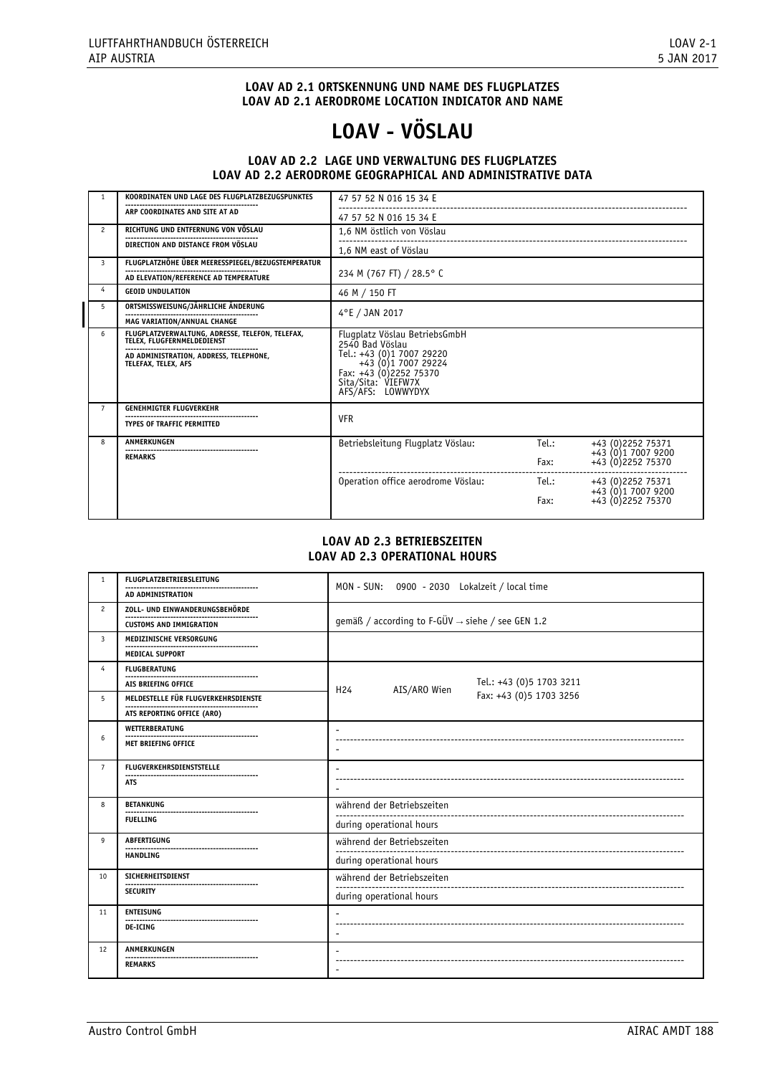### **LOAV AD 2.1 ORTSKENNUNG UND NAME DES FLUGPLATZES LOAV AD 2.1 AERODROME LOCATION INDICATOR AND NAME**

# **LOAV - VÖSLAU**

### **LOAV AD 2.2 LAGE UND VERWALTUNG DES FLUGPLATZES LOAV AD 2.2 AERODROME GEOGRAPHICAL AND ADMINISTRATIVE DATA**

| $\mathbf{1}$   | KOORDINATEN UND LAGE DES FLUGPLATZBEZUGSPUNKTES                                                                                                              | 47 57 52 N 016 15 34 E                                                                                                                                                    |               |                                                                |  |
|----------------|--------------------------------------------------------------------------------------------------------------------------------------------------------------|---------------------------------------------------------------------------------------------------------------------------------------------------------------------------|---------------|----------------------------------------------------------------|--|
|                | ARP COORDINATES AND SITE AT AD                                                                                                                               | 47 57 52 N 016 15 34 E                                                                                                                                                    |               |                                                                |  |
| $\overline{c}$ | RICHTUNG UND ENTFERNUNG VON VÖSLAU                                                                                                                           | 1,6 NM östlich von Vöslau                                                                                                                                                 |               |                                                                |  |
|                | DIRECTION AND DISTANCE FROM VÖSLAU                                                                                                                           | 1,6 NM east of Vöslau                                                                                                                                                     |               |                                                                |  |
| 3              | FLUGPLATZHÖHE ÜBER MEERESSPIEGEL/BEZUGSTEMPERATUR<br>AD ELEVATION/REFERENCE AD TEMPERATURE                                                                   | 234 M (767 FT) / 28.5° C                                                                                                                                                  |               |                                                                |  |
| 4              | <b>GEOID UNDULATION</b>                                                                                                                                      | 46 M / 150 FT                                                                                                                                                             |               |                                                                |  |
| 5              | ORTSMISSWEISUNG/JÄHRLICHE ÄNDERUNG<br>MAG VARIATION/ANNUAL CHANGE                                                                                            | 4°E / JAN 2017                                                                                                                                                            |               |                                                                |  |
| 6              | FLUGPLATZVERWALTUNG, ADRESSE, TELEFON, TELEFAX,<br><b>TELEX, FLUGFERNMELDEDIENST</b><br>AD ADMINISTRATION, ADDRESS, TELEPHONE,<br><b>TELEFAX, TELEX, AFS</b> | Flugplatz Vöslau BetriebsGmbH<br>2540 Bad Vöslau<br>Tel.: +43 (0)1 7007 29220<br>+43 (0)1 7007 29224<br>Fax: +43 (0)2252 75370<br>Sita/Sita: VIEFW7X<br>AFS/AFS: LOWWYDYX |               |                                                                |  |
| $\overline{7}$ | <b>GENEHMIGTER FLUGVERKEHR</b><br><b>TYPES OF TRAFFIC PERMITTED</b>                                                                                          | <b>VFR</b>                                                                                                                                                                |               |                                                                |  |
| 8              | ANMERKUNGEN<br><b>REMARKS</b>                                                                                                                                | Betriebsleitung Flugplatz Vöslau:                                                                                                                                         | Tel.:<br>Fax: | +43 (0)2252 75371<br>+43 (0)1 7007 9200<br>+43 (0)2252 75370   |  |
|                |                                                                                                                                                              | Operation office aerodrome Vöslau:                                                                                                                                        | Tel.:<br>Fax: | +43 (0)2252 75371<br>$+43$ (0)1 7007 9200<br>+43 (0)2252 75370 |  |

# **LOAV AD 2.3 BETRIEBSZEITEN LOAV AD 2.3 OPERATIONAL HOURS**

| $\mathbf{1}$   | <b>FLUGPLATZBETRIEBSLEITUNG</b><br>AD ADMINISTRATION | MON - SUN: 0900 - 2030 Lokalzeit / local time                |  |
|----------------|------------------------------------------------------|--------------------------------------------------------------|--|
| $\mathcal{P}$  | ZOLL- UND EINWANDERUNGSBEHÖRDE                       |                                                              |  |
|                | <b>CUSTOMS AND IMMIGRATION</b>                       | gemäß / according to F-GÜV $\rightarrow$ siehe / see GEN 1.2 |  |
| $\overline{3}$ | MEDIZINISCHE VERSORGUNG                              |                                                              |  |
|                | <b>MEDICAL SUPPORT</b>                               |                                                              |  |
| $\overline{4}$ | <b>FLUGBERATUNG</b>                                  |                                                              |  |
|                | AIS BRIEFING OFFICE                                  | Tel.: +43 (0)5 1703 3211<br>AIS/ARO Wien<br>H <sub>24</sub>  |  |
| 5              | MELDESTELLE FÜR FLUGVERKEHRSDIENSTE                  | Fax: +43 (0)5 1703 3256                                      |  |
|                | ATS REPORTING OFFICE (ARO)                           |                                                              |  |
|                | <b>WETTERBERATUNG</b>                                |                                                              |  |
| 6              | <b>MET BRIEFING OFFICE</b>                           |                                                              |  |
| $\overline{7}$ | <b>FLUGVERKEHRSDIENSTSTELLE</b>                      | $\overline{\phantom{a}}$                                     |  |
|                | --------------------------------<br><b>ATS</b>       |                                                              |  |
| 8              | <b>BETANKUNG</b>                                     | während der Betriebszeiten                                   |  |
|                | <b>FUELLING</b>                                      | during operational hours                                     |  |
| 9              | <b>ABFERTIGUNG</b>                                   | während der Betriebszeiten                                   |  |
|                | <b>HANDLING</b>                                      | during operational hours                                     |  |
| 10             | SICHERHEITSDIENST                                    | während der Betriebszeiten                                   |  |
|                | <b>SECURITY</b>                                      | during operational hours                                     |  |
| 11             | <b>ENTEISUNG</b>                                     |                                                              |  |
|                | <b>DE-ICING</b>                                      |                                                              |  |
| 12             | <b>ANMERKUNGEN</b>                                   |                                                              |  |
|                | <b>REMARKS</b>                                       |                                                              |  |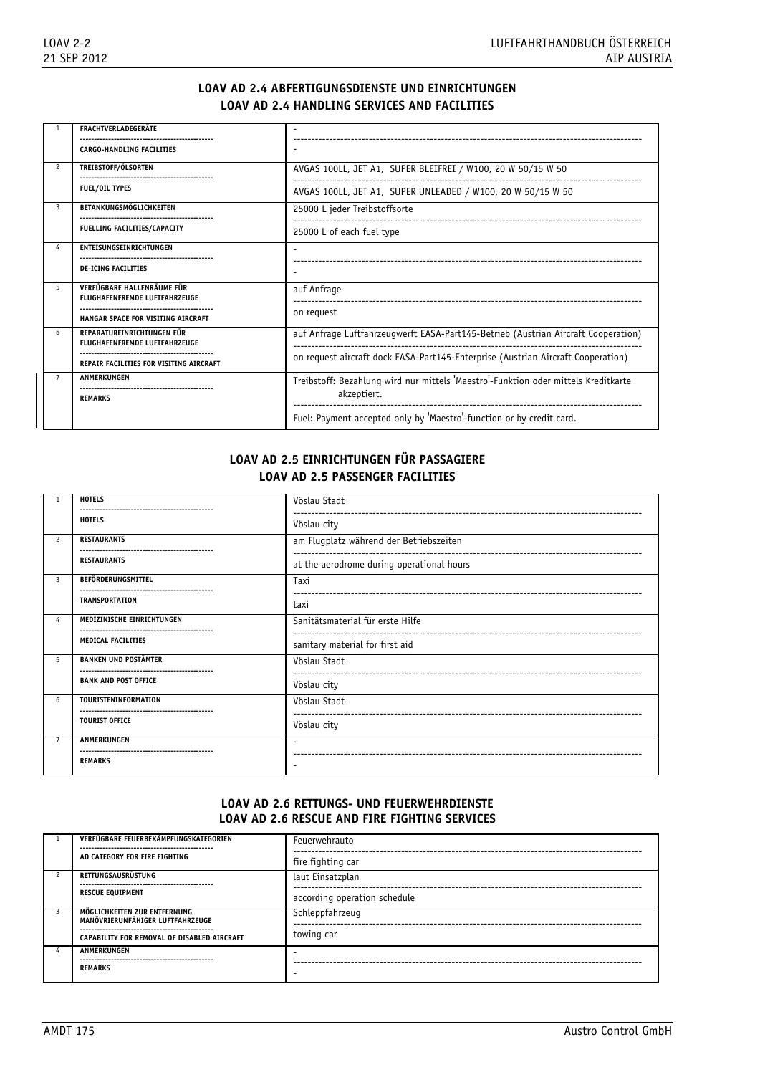# **LOAV AD 2.4 ABFERTIGUNGSDIENSTE UND EINRICHTUNGEN LOAV AD 2.4 HANDLING SERVICES AND FACILITIES**

|                | <b>FRACHTVERLADEGERÄTE</b>                                         |                                                                                    |
|----------------|--------------------------------------------------------------------|------------------------------------------------------------------------------------|
|                | <b>CARGO-HANDLING FACILITIES</b>                                   |                                                                                    |
| $\mathcal{P}$  | TREIBSTOFF/ÖLSORTEN                                                | AVGAS 100LL, JET A1, SUPER BLEIFREI / W100, 20 W 50/15 W 50                        |
|                | <b>FUEL/OIL TYPES</b>                                              | AVGAS 100LL, JET A1, SUPER UNLEADED / W100, 20 W 50/15 W 50                        |
| 3              | BETANKUNGSMÖGLICHKEITEN                                            | 25000 L jeder Treibstoffsorte                                                      |
|                | FUELLING FACILITIES/CAPACITY                                       | 25000 L of each fuel type                                                          |
| 4              | ENTEISUNGSEINRICHTUNGEN                                            |                                                                                    |
|                | <b>DE-ICING FACILITIES</b>                                         |                                                                                    |
| 5.             | VERFÜGBARE HALLENRÄUME FÜR<br><b>FLUGHAFENFREMDE LUFTFAHRZEUGE</b> | auf Anfrage                                                                        |
|                | HANGAR SPACE FOR VISITING AIRCRAFT                                 | on request                                                                         |
| 6              | REPARATUREINRICHTUNGEN FÜR<br><b>FLUGHAFENFREMDE LUFTFAHRZEUGE</b> | auf Anfrage Luftfahrzeugwerft EASA-Part145-Betrieb (Austrian Aircraft Cooperation) |
|                | REPAIR FACILITIES FOR VISITING AIRCRAFT                            | on request aircraft dock EASA-Part145-Enterprise (Austrian Aircraft Cooperation)   |
| $\overline{7}$ | ANMERKUNGEN                                                        | Treibstoff: Bezahlung wird nur mittels 'Maestro'-Funktion oder mittels Kreditkarte |
| <b>REMARKS</b> |                                                                    | akzeptiert.                                                                        |
|                |                                                                    | Fuel: Payment accepted only by 'Maestro'-function or by credit card.               |

# **LOAV AD 2.5 EINRICHTUNGEN FÜR PASSAGIERE LOAV AD 2.5 PASSENGER FACILITIES**

|                | <b>HOTELS</b>               | Vöslau Stadt                              |  |
|----------------|-----------------------------|-------------------------------------------|--|
|                | <b>HOTELS</b>               | Vöslau city                               |  |
| $\mathcal{P}$  | <b>RESTAURANTS</b>          | am Flugplatz während der Betriebszeiten   |  |
|                | <b>RESTAURANTS</b>          | at the aerodrome during operational hours |  |
| $\overline{3}$ | BEFÖRDERUNGSMITTEL          | Taxi                                      |  |
|                | <b>TRANSPORTATION</b>       | taxi                                      |  |
| 4              | MEDIZINISCHE EINRICHTUNGEN  | Sanitätsmaterial für erste Hilfe          |  |
|                | <b>MEDICAL FACILITIES</b>   | sanitary material for first aid           |  |
| 5              | <b>BANKEN UND POSTÄMTER</b> | Vöslau Stadt                              |  |
|                | <b>BANK AND POST OFFICE</b> | Vöslau city                               |  |
| 6              | <b>TOURISTENINFORMATION</b> | Vöslau Stadt                              |  |
|                | <b>TOURIST OFFICE</b>       | Vöslau city                               |  |
|                | ANMERKUNGEN                 |                                           |  |
|                | <b>REMARKS</b>              |                                           |  |

# **LOAV AD 2.6 RETTUNGS- UND FEUERWEHRDIENSTE LOAV AD 2.6 RESCUE AND FIRE FIGHTING SERVICES**

| VERFÜGBARE FEUERBEKÄMPFUNGSKATEGORIEN                            | Feuerwehrauto                |
|------------------------------------------------------------------|------------------------------|
| AD CATEGORY FOR FIRE FIGHTING                                    | fire fighting car            |
| RETTUNGSAUSRÜSTUNG                                               | laut Einsatzplan             |
| <b>RESCUE EQUIPMENT</b>                                          | according operation schedule |
| MÖGLICHKEITEN ZUR ENTFERNUNG<br>MANÖVRIERUNFÄHIGER LUFTFAHRZEUGE | Schleppfahrzeug              |
| CAPABILITY FOR REMOVAL OF DISABLED AIRCRAFT                      | towing car                   |
| ANMERKUNGEN                                                      |                              |
| <b>REMARKS</b>                                                   |                              |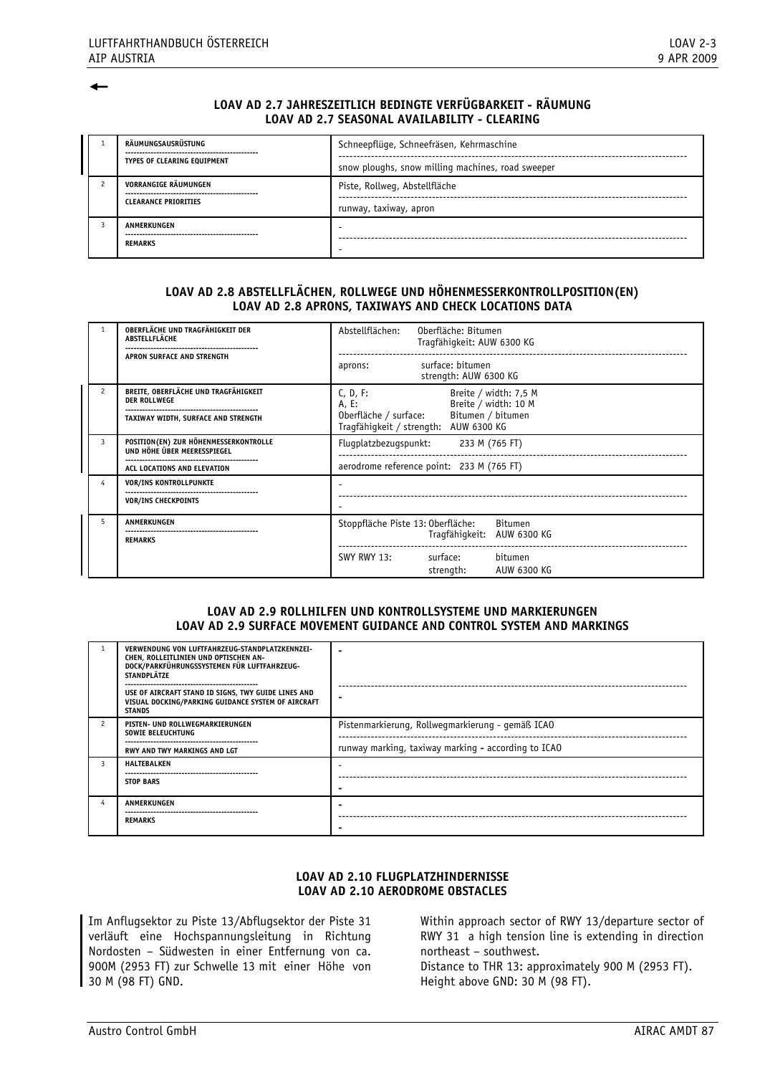$\overline{\phantom{0}}$ 

### **LOAV AD 2.7 JAHRESZEITLICH BEDINGTE VERFÜGBARKEIT - RÄUMUNG LOAV AD 2.7 SEASONAL AVAILABILITY - CLEARING**

| RÄUMUNGSAUSRÜSTUNG |                                                     | Schneepflüge, Schneefräsen, Kehrmaschine          |
|--------------------|-----------------------------------------------------|---------------------------------------------------|
|                    | TYPES OF CLEARING EQUIPMENT                         | snow ploughs, snow milling machines, road sweeper |
|                    | VORRANGIGE RÄUMUNGEN<br><b>CLEARANCE PRIORITIES</b> | Piste, Rollweg, Abstellfläche                     |
|                    |                                                     | runway, taxiway, apron                            |
|                    | ANMERKUNGEN<br><b>REMARKS</b>                       |                                                   |

# **LOAV AD 2.8 ABSTELLFLÄCHEN, ROLLWEGE UND HÖHENMESSERKONTROLLPOSITION(EN) LOAV AD 2.8 APRONS, TAXIWAYS AND CHECK LOCATIONS DATA**

|               | OBERFLÄCHE UND TRAGFÄHIGKEIT DER<br>ABSTELLFLÄCHE                    | Abstellflächen:<br>Oberfläche: Bitumen<br>Tragfähigkeit: AUW 6300 KG                |  |
|---------------|----------------------------------------------------------------------|-------------------------------------------------------------------------------------|--|
|               | APRON SURFACE AND STRENGTH                                           | surface: bitumen<br>aprons:<br>strength: AUW 6300 KG                                |  |
| $\mathcal{P}$ | BREITE, OBERFLÄCHE UND TRAGFÄHIGKEIT<br><b>DER ROLLWEGE</b>          | C, D, F:<br>Breite / width: 7,5 M<br>Breite / width: 10 M<br>A, E:                  |  |
|               | <b>TAXIWAY WIDTH, SURFACE AND STRENGTH</b>                           | Bitumen / bitumen<br>Oberfläche / surface:<br>Tragfähigkeit / strength: AUW 6300 KG |  |
| ς             | POSITION(EN) ZUR HÖHENMESSERKONTROLLE<br>UND HÖHE ÜBER MEERESSPIEGEL | Flugplatzbezugspunkt:<br>233 M (765 FT)                                             |  |
|               | ACL LOCATIONS AND ELEVATION                                          | aerodrome reference point: 233 M (765 FT)                                           |  |
| 4             | <b>VOR/INS KONTROLLPUNKTE</b><br><b>VOR/INS CHECKPOINTS</b>          |                                                                                     |  |
| 5             | ANMERKUNGEN<br><b>REMARKS</b>                                        | Bitumen<br>Stoppfläche Piste 13: Oberfläche:<br>AUW 6300 KG<br>Traqfähiqkeit:       |  |
|               |                                                                      | <b>SWY RWY 13:</b><br>surface:<br>bitumen<br>AUW 6300 KG<br>strength:               |  |

# **LOAV AD 2.9 ROLLHILFEN UND KONTROLLSYSTEME UND MARKIERUNGEN LOAV AD 2.9 SURFACE MOVEMENT GUIDANCE AND CONTROL SYSTEM AND MARKINGS**

|               | VERWENDUNG VON LUFTFAHRZEUG-STANDPLATZKENNZEI-<br>CHEN, ROLLEITLINIEN UND OPTISCHEN AN-<br>DOCK/PARKFÜHRUNGSSYSTEMEN FÜR LUFTFAHRZEUG-<br><b>STANDPLÄTZE</b> |                                                     |
|---------------|--------------------------------------------------------------------------------------------------------------------------------------------------------------|-----------------------------------------------------|
|               | USE OF AIRCRAFT STAND ID SIGNS, TWY GUIDE LINES AND<br>VISUAL DOCKING/PARKING GUIDANCE SYSTEM OF AIRCRAFT<br><b>STANDS</b>                                   |                                                     |
| $\mathcal{P}$ | PISTEN- UND ROLLWEGMARKIERUNGEN<br>SOWIE BELEUCHTUNG                                                                                                         | Pistenmarkierung, Rollwegmarkierung - gemäß ICAO    |
|               | <b>RWY AND TWY MARKINGS AND LGT</b>                                                                                                                          | runway marking, taxiway marking - according to ICAO |
| 3             | HALTEBALKEN                                                                                                                                                  |                                                     |
|               | <b>STOP BARS</b>                                                                                                                                             |                                                     |
|               | <b>ANMERKUNGEN</b>                                                                                                                                           |                                                     |
|               | <b>REMARKS</b>                                                                                                                                               |                                                     |

# **LOAV AD 2.10 FLUGPLATZHINDERNISSE LOAV AD 2.10 AERODROME OBSTACLES**

Im Anflugsektor zu Piste 13/Abflugsektor der Piste 31 verläuft eine Hochspannungsleitung in Richtung Nordosten – Südwesten in einer Entfernung von ca. 900M (2953 FT) zur Schwelle 13 mit einer Höhe von 30 M (98 FT) GND.

Within approach sector of RWY 13/departure sector of RWY 31 a high tension line is extending in direction northeast – southwest.

Distance to THR 13: approximately 900 M (2953 FT). Height above GND: 30 M (98 FT).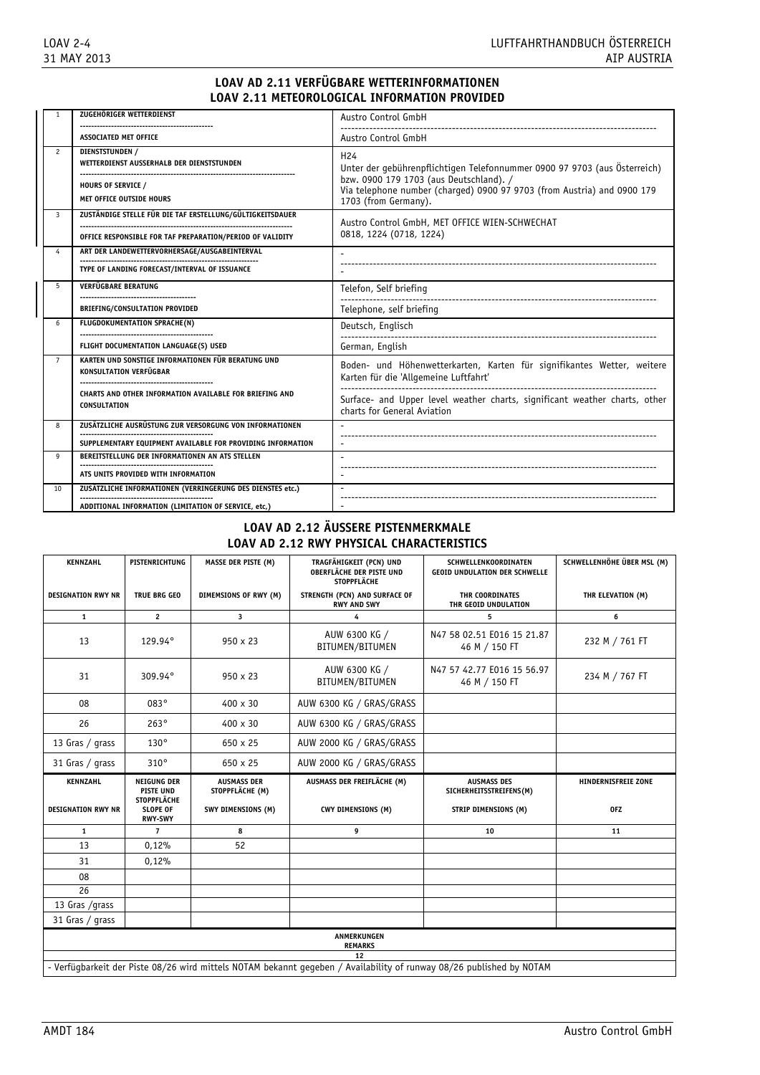### **LOAV AD 2.11 VERFÜGBARE WETTERINFORMATIONEN LOAV 2.11 METEOROLOGICAL INFORMATION PROVIDED**

| ZUGEHÖRIGER WETTERDIENST<br>$\mathbf{1}$                                                                                    | Austro Control GmbH                                                                                                                        |
|-----------------------------------------------------------------------------------------------------------------------------|--------------------------------------------------------------------------------------------------------------------------------------------|
| ASSOCIATED MET OFFICE                                                                                                       | Austro Control GmbH                                                                                                                        |
| DIENSTSTUNDEN /<br>$\overline{\phantom{a}}$<br>WETTERDIENST AUSSERHALB DER DIENSTSTUNDEN                                    | H <sub>24</sub><br>Unter der gebührenpflichtigen Telefonnummer 0900 97 9703 (aus Österreich)                                               |
| <b>HOURS OF SERVICE /</b><br>MET OFFICE OUTSIDE HOURS                                                                       | bzw. 0900 179 1703 (aus Deutschland). /<br>Via telephone number (charged) 0900 97 9703 (from Austria) and 0900 179<br>1703 (from Germany). |
| ZUSTÄNDIGE STELLE FÜR DIE TAF ERSTELLUNG/GÜLTIGKEITSDAUER<br>3<br>OFFICE RESPONSIBLE FOR TAF PREPARATION/PERIOD OF VALIDITY | Austro Control GmbH, MET OFFICE WIEN-SCHWECHAT<br>0818, 1224 (0718, 1224)                                                                  |
| ART DER LANDEWETTERVORHERSAGE/AUSGABEINTERVAL<br>$\overline{4}$                                                             |                                                                                                                                            |
| TYPE OF LANDING FORECAST/INTERVAL OF ISSUANCE                                                                               |                                                                                                                                            |
| VERFÜGBARE BERATUNG<br>5                                                                                                    | Telefon, Self briefing                                                                                                                     |
| <b>BRIEFING/CONSULTATION PROVIDED</b>                                                                                       | Telephone, self briefing                                                                                                                   |
| FLUGDOKUMENTATION SPRACHE(N)<br>6                                                                                           | Deutsch, Englisch                                                                                                                          |
| FLIGHT DOCUMENTATION LANGUAGE(S) USED                                                                                       | German, English                                                                                                                            |
| KARTEN UND SONSTIGE INFORMATIONEN FÜR BERATUNG UND<br>$\overline{7}$<br>KONSULTATION VERFÜGBAR                              | Boden- und Höhenwetterkarten, Karten für signifikantes Wetter, weitere<br>Karten für die 'Allgemeine Luftfahrt'                            |
| CHARTS AND OTHER INFORMATION AVAILABLE FOR BRIEFING AND<br>CONSULTATION                                                     | Surface- and Upper level weather charts, significant weather charts, other<br>charts for General Aviation                                  |
| ZUSÄTZLICHE AUSRÜSTUNG ZUR VERSORGUNG VON INFORMATIONEN<br>8                                                                |                                                                                                                                            |
| SUPPLEMENTARY EQUIPMENT AVAILABLE FOR PROVIDING INFORMATION                                                                 |                                                                                                                                            |
| 9<br>BEREITSTELLUNG DER INFORMATIONEN AN ATS STELLEN                                                                        |                                                                                                                                            |
| ATS UNITS PROVIDED WITH INFORMATION                                                                                         |                                                                                                                                            |
| ZUSÄTZLICHE INFORMATIONEN (VERRINGERUNG DES DIENSTES etc.)<br>10                                                            |                                                                                                                                            |
| ADDITIONAL INFORMATION (LIMITATION OF SERVICE, etc,)                                                                        |                                                                                                                                            |

# **LOAV AD 2.12 ÄUSSERE PISTENMERKMALE LOAV AD 2.12 RWY PHYSICAL CHARACTERISTICS**

| <b>KENNZAHL</b>                                               | PISTENRICHTUNG                                                                                                             | <b>MASSE DER PISTE (M)</b>                  | TRAGFÄHIGKEIT (PCN) UND<br><b>OBERFLÄCHE DER PISTE UND</b><br><b>STOPPFLÄCHE</b> | <b>SCHWELLENKOORDINATEN</b><br><b>GEOID UNDULATION DER SCHWELLE</b> | SCHWELLENHÖHE ÜBER MSL (M) |  |
|---------------------------------------------------------------|----------------------------------------------------------------------------------------------------------------------------|---------------------------------------------|----------------------------------------------------------------------------------|---------------------------------------------------------------------|----------------------------|--|
| <b>DESIGNATION RWY NR</b>                                     | <b>TRUE BRG GEO</b>                                                                                                        | DIMEMSIONS OF RWY (M)                       | STRENGTH (PCN) AND SURFACE OF<br><b>RWY AND SWY</b>                              | <b>THR COORDINATES</b><br>THR GEOID UNDULATION                      | THR ELEVATION (M)          |  |
| $\mathbf{1}$                                                  | $\overline{2}$                                                                                                             | 3                                           | 4                                                                                | 5                                                                   | 6                          |  |
| 13                                                            | 129.94°                                                                                                                    | $950 \times 23$                             | AUW 6300 KG /<br>BITUMEN/BITUMEN                                                 | N47 58 02.51 E016 15 21.87<br>46 M / 150 FT                         | 232 M / 761 FT             |  |
| AUW 6300 KG /<br>31<br>309.94°<br>950 x 23<br>BITUMEN/BITUMEN |                                                                                                                            | N47 57 42.77 E016 15 56.97<br>46 M / 150 FT | 234 M / 767 FT                                                                   |                                                                     |                            |  |
| 08                                                            | $083^\circ$                                                                                                                | $400 \times 30$                             | AUW 6300 KG / GRAS/GRASS                                                         |                                                                     |                            |  |
| 26                                                            | $263^\circ$                                                                                                                | $400 \times 30$                             | AUW 6300 KG / GRAS/GRASS                                                         |                                                                     |                            |  |
| 13 Gras / grass                                               | $130^\circ$                                                                                                                | $650 \times 25$                             | AUW 2000 KG / GRAS/GRASS                                                         |                                                                     |                            |  |
| 31 Gras / grass                                               | 310°                                                                                                                       | $650 \times 25$                             | AUW 2000 KG / GRAS/GRASS                                                         |                                                                     |                            |  |
| <b>KENNZAHL</b>                                               | <b>NEIGUNG DER</b><br><b>PISTE UND</b>                                                                                     | <b>AUSMASS DER</b><br>STOPPFLÄCHE (M)       | AUSMASS DER FREIFLÄCHE (M)                                                       | <b>AUSMASS DES</b><br>SICHERHEITSSTREIFENS(M)                       | HINDERNISFREIE ZONE        |  |
| <b>DESIGNATION RWY NR</b>                                     | <b>STOPPFLÄCHE</b><br><b>SLOPE OF</b><br><b>RWY-SWY</b>                                                                    | SWY DIMENSIONS (M)                          | CWY DIMENSIONS (M)                                                               | <b>STRIP DIMENSIONS (M)</b>                                         | OFZ                        |  |
| $\mathbf{1}$                                                  | $\overline{7}$                                                                                                             | 8                                           | 9                                                                                | 10                                                                  | 11                         |  |
| 13                                                            | 0,12%                                                                                                                      | 52                                          |                                                                                  |                                                                     |                            |  |
| 31                                                            | 0,12%                                                                                                                      |                                             |                                                                                  |                                                                     |                            |  |
| 08                                                            |                                                                                                                            |                                             |                                                                                  |                                                                     |                            |  |
| 26                                                            |                                                                                                                            |                                             |                                                                                  |                                                                     |                            |  |
| 13 Gras / grass                                               |                                                                                                                            |                                             |                                                                                  |                                                                     |                            |  |
| 31 Gras / grass                                               |                                                                                                                            |                                             |                                                                                  |                                                                     |                            |  |
|                                                               | ANMERKUNGEN<br><b>REMARKS</b>                                                                                              |                                             |                                                                                  |                                                                     |                            |  |
|                                                               | 12<br>- Verfügbarkeit der Piste 08/26 wird mittels NOTAM bekannt gegeben / Availability of runway 08/26 published by NOTAM |                                             |                                                                                  |                                                                     |                            |  |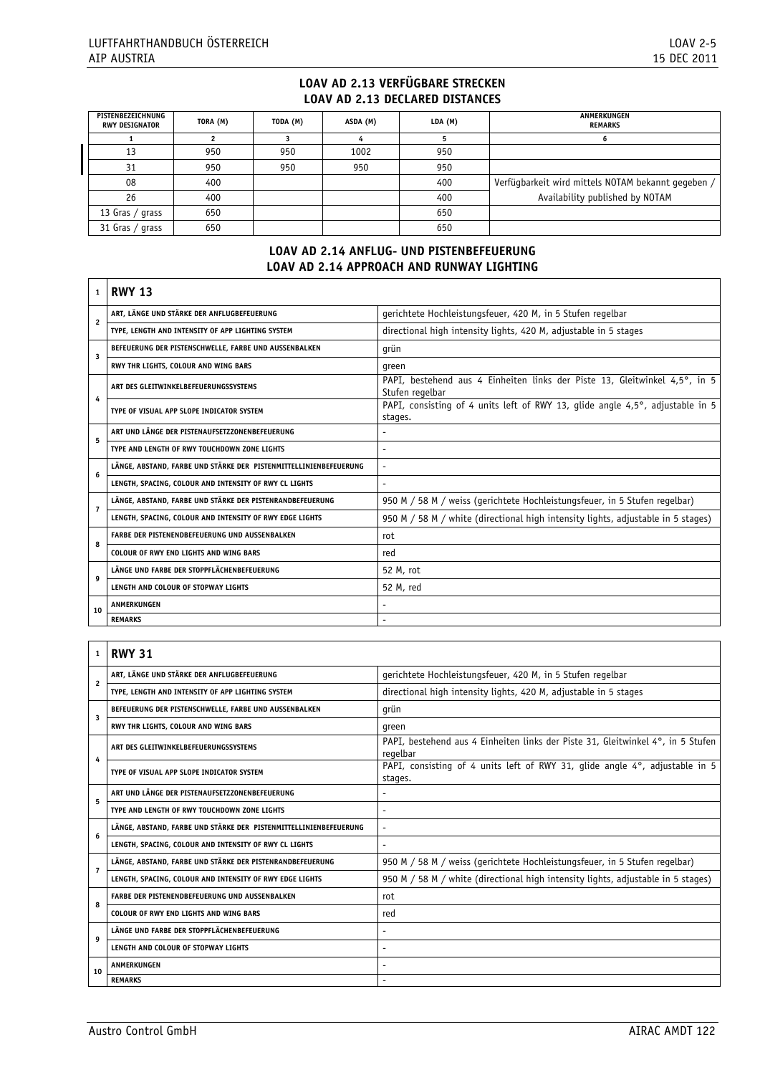$\blacksquare$ 

# **LOAV AD 2.13 VERFÜGBARE STRECKEN LOAV AD 2.13 DECLARED DISTANCES**

| PISTENBEZEICHNUNG<br><b>RWY DESIGNATOR</b> | TORA (M) | TODA (M) | ASDA (M) | LDA (M) | ANMERKUNGEN<br><b>REMARKS</b>                      |
|--------------------------------------------|----------|----------|----------|---------|----------------------------------------------------|
|                                            |          |          | 4        |         |                                                    |
|                                            | 950      | 950      | 1002     | 950     |                                                    |
| 31                                         | 950      | 950      | 950      | 950     |                                                    |
| 08                                         | 400      |          |          | 400     | Verfügbarkeit wird mittels NOTAM bekannt gegeben / |
| 26                                         | 400      |          |          | 400     | Availability published by NOTAM                    |
| 13 Gras / grass                            | 650      |          |          | 650     |                                                    |
| 31 Gras / grass                            | 650      |          |          | 650     |                                                    |

# **LOAV AD 2.14 ANFLUG- UND PISTENBEFEUERUNG LOAV AD 2.14 APPROACH AND RUNWAY LIGHTING**

| 1              | <b>RWY 13</b>                                                     |                                                                                                    |  |  |
|----------------|-------------------------------------------------------------------|----------------------------------------------------------------------------------------------------|--|--|
|                | ART, LÄNGE UND STÄRKE DER ANFLUGBEFEUERUNG                        | gerichtete Hochleistungsfeuer, 420 M, in 5 Stufen regelbar                                         |  |  |
| $\overline{2}$ | TYPE, LENGTH AND INTENSITY OF APP LIGHTING SYSTEM                 | directional high intensity lights, 420 M, adjustable in 5 stages                                   |  |  |
|                | BEFEUERUNG DER PISTENSCHWELLE, FARBE UND AUSSENBALKEN             | grün                                                                                               |  |  |
| 3              | RWY THR LIGHTS, COLOUR AND WING BARS                              | green                                                                                              |  |  |
| 4              | ART DES GLEITWINKELBEFEUERUNGSSYSTEMS                             | PAPI, bestehend aus 4 Einheiten links der Piste 13, Gleitwinkel 4,5°, in 5<br>Stufen regelbar      |  |  |
|                | TYPE OF VISUAL APP SLOPE INDICATOR SYSTEM                         | PAPI, consisting of 4 units left of RWY 13, glide angle $4.5^{\circ}$ , adjustable in 5<br>stages. |  |  |
|                | ART UND LÄNGE DER PISTENAUFSETZZONENBEFEUERUNG                    |                                                                                                    |  |  |
| 5              | TYPE AND LENGTH OF RWY TOUCHDOWN ZONE LIGHTS                      |                                                                                                    |  |  |
|                | LÄNGE, ABSTAND, FARBE UND STÄRKE DER PISTENMITTELLINIENBEFEUERUNG |                                                                                                    |  |  |
| 6              | LENGTH, SPACING, COLOUR AND INTENSITY OF RWY CL LIGHTS            |                                                                                                    |  |  |
|                | LÄNGE, ABSTAND, FARBE UND STÄRKE DER PISTENRANDBEFEUERUNG         | 950 M / 58 M / weiss (gerichtete Hochleistungsfeuer, in 5 Stufen regelbar)                         |  |  |
| 7              | LENGTH, SPACING, COLOUR AND INTENSITY OF RWY EDGE LIGHTS          | 950 M / 58 M / white (directional high intensity lights, adjustable in 5 stages)                   |  |  |
|                | FARBE DER PISTENENDBEFEUERUNG UND AUSSENBALKEN                    | rot                                                                                                |  |  |
| 8              | COLOUR OF RWY END LIGHTS AND WING BARS                            | red                                                                                                |  |  |
|                | LÄNGE UND FARBE DER STOPPFLÄCHENBEFEUERUNG                        | 52 M, rot                                                                                          |  |  |
| 9              | LENGTH AND COLOUR OF STOPWAY LIGHTS                               | 52 M, red                                                                                          |  |  |
| 10             | ANMERKUNGEN                                                       |                                                                                                    |  |  |
|                | <b>REMARKS</b>                                                    |                                                                                                    |  |  |

| 1              | <b>RWY 31</b>                                                     |                                                                                             |  |
|----------------|-------------------------------------------------------------------|---------------------------------------------------------------------------------------------|--|
| $\overline{2}$ | ART, LÄNGE UND STÄRKE DER ANFLUGBEFEUERUNG                        | gerichtete Hochleistungsfeuer, 420 M, in 5 Stufen regelbar                                  |  |
|                | TYPE, LENGTH AND INTENSITY OF APP LIGHTING SYSTEM                 | directional high intensity lights, 420 M, adjustable in 5 stages                            |  |
| 3              | BEFEUERUNG DER PISTENSCHWELLE, FARBE UND AUSSENBALKEN             | arün                                                                                        |  |
|                | RWY THR LIGHTS, COLOUR AND WING BARS                              | green                                                                                       |  |
| 4              | ART DES GLEITWINKELBEFEUERUNGSSYSTEMS                             | PAPI, bestehend aus 4 Einheiten links der Piste 31, Gleitwinkel 4°, in 5 Stufen<br>regelbar |  |
|                | TYPE OF VISUAL APP SLOPE INDICATOR SYSTEM                         | PAPI, consisting of 4 units left of RWY 31, glide angle 4°, adjustable in 5<br>stages.      |  |
| 5              | ART UND LÄNGE DER PISTENAUFSETZZONENBEFEUERUNG                    |                                                                                             |  |
|                | TYPE AND LENGTH OF RWY TOUCHDOWN ZONE LIGHTS                      |                                                                                             |  |
| 6              | LÄNGE, ABSTAND, FARBE UND STÄRKE DER PISTENMITTELLINIENBEFEUERUNG |                                                                                             |  |
|                | LENGTH, SPACING, COLOUR AND INTENSITY OF RWY CL LIGHTS            |                                                                                             |  |
| $\overline{7}$ | LÄNGE, ABSTAND, FARBE UND STÄRKE DER PISTENRANDBEFEUERUNG         | 950 M / 58 M / weiss (gerichtete Hochleistungsfeuer, in 5 Stufen regelbar)                  |  |
|                | LENGTH, SPACING, COLOUR AND INTENSITY OF RWY EDGE LIGHTS          | 950 M / 58 M / white (directional high intensity lights, adjustable in 5 stages)            |  |
| 8              | <b>FARBE DER PISTENENDBEFEUERUNG UND AUSSENBALKEN</b>             | rot                                                                                         |  |
|                | <b>COLOUR OF RWY END LIGHTS AND WING BARS</b>                     | red                                                                                         |  |
| 9              | LÄNGE UND FARBE DER STOPPFLÄCHENBEFEUERUNG                        |                                                                                             |  |
|                | LENGTH AND COLOUR OF STOPWAY LIGHTS                               |                                                                                             |  |
| 10             | ANMERKUNGEN                                                       |                                                                                             |  |
|                | <b>REMARKS</b>                                                    |                                                                                             |  |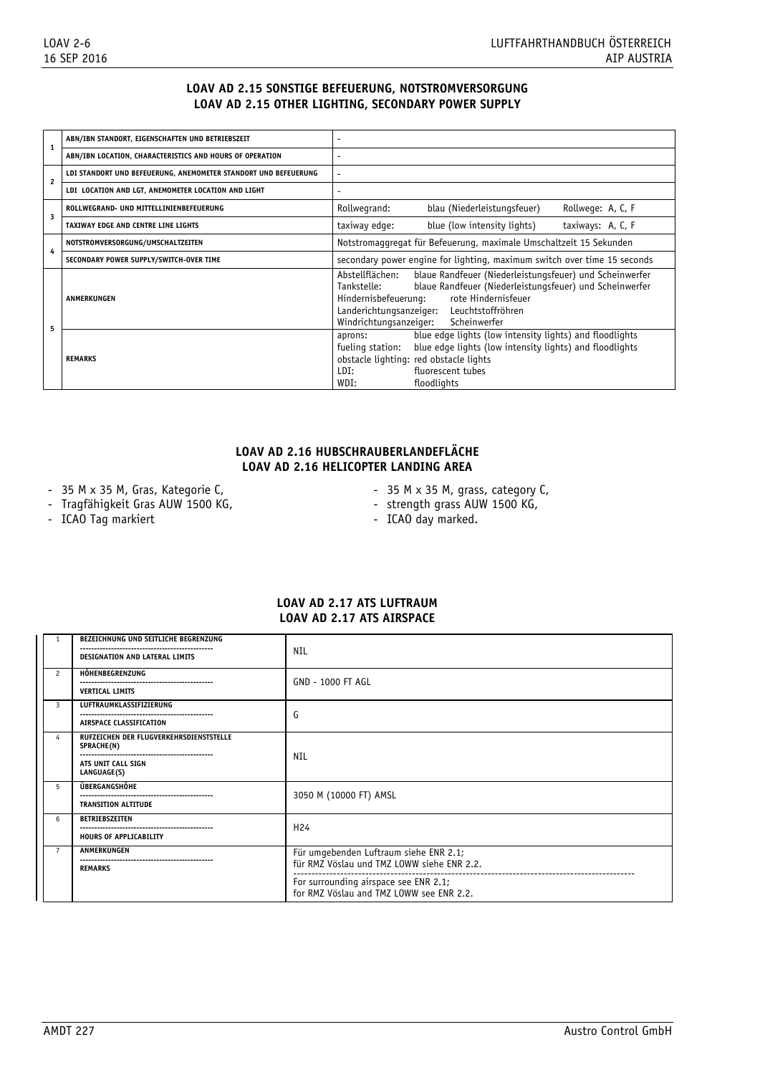# **LOAV AD 2.15 SONSTIGE BEFEUERUNG, NOTSTROMVERSORGUNG LOAV AD 2.15 OTHER LIGHTING, SECONDARY POWER SUPPLY**

| 1              | ABN/IBN STANDORT, EIGENSCHAFTEN UND BETRIEBSZEIT                |                                                                                                                                                                                                                                                                                            |  |  |
|----------------|-----------------------------------------------------------------|--------------------------------------------------------------------------------------------------------------------------------------------------------------------------------------------------------------------------------------------------------------------------------------------|--|--|
|                | ABN/IBN LOCATION, CHARACTERISTICS AND HOURS OF OPERATION        |                                                                                                                                                                                                                                                                                            |  |  |
| $\overline{2}$ | LDI STANDORT UND BEFEUERUNG, ANEMOMETER STANDORT UND BEFEUERUNG |                                                                                                                                                                                                                                                                                            |  |  |
|                | LDI LOCATION AND LGT, ANEMOMETER LOCATION AND LIGHT             |                                                                                                                                                                                                                                                                                            |  |  |
| 3              | ROLLWEGRAND- UND MITTELLINIENBEFEUERUNG                         | blau (Niederleistungsfeuer)<br>Rollwegrand:<br>Rollwege: A, C, F                                                                                                                                                                                                                           |  |  |
|                | <b>TAXIWAY EDGE AND CENTRE LINE LIGHTS</b>                      | blue (low intensity lights)<br>taxiway edge:<br>taxiways: A, C, F                                                                                                                                                                                                                          |  |  |
|                | NOTSTROMVERSORGUNG/UMSCHALTZEITEN                               | Notstromaggregat für Befeuerung, maximale Umschaltzeit 15 Sekunden                                                                                                                                                                                                                         |  |  |
| 4              | SECONDARY POWER SUPPLY/SWITCH-OVER TIME                         | secondary power engine for lighting, maximum switch over time 15 seconds                                                                                                                                                                                                                   |  |  |
| 5              | ANMERKUNGEN                                                     | Abstellflächen:<br>blaue Randfeuer (Niederleistungsfeuer) und Scheinwerfer<br>blaue Randfeuer (Niederleistungsfeuer) und Scheinwerfer<br>Tankstelle:<br>rote Hindernisfeuer<br>Hindernisbefeuerung:<br>Landerichtungsanzeiger: Leuchtstoffröhren<br>Windrichtungsanzeiger:<br>Scheinwerfer |  |  |
|                | <b>REMARKS</b>                                                  | blue edge lights (low intensity lights) and floodlights<br>aprons:<br>blue edge lights (low intensity lights) and floodlights<br>fueling station:<br>obstacle lighting: red obstacle lights<br>fluorescent tubes<br>LDI:<br>WDI:<br>floodlights                                            |  |  |

# **LOAV AD 2.16 HUBSCHRAUBERLANDEFLÄCHE LOAV AD 2.16 HELICOPTER LANDING AREA**

- 35 M x 35 M, Gras, Kategorie C,
- Tragfähigkeit Gras AUW 1500 KG,
- ICAO Tag markiert
- 35 M x 35 M, grass, category C,
- strength grass AUW 1500 KG,
- ICAO day marked.

#### **LOAV AD 2.17 ATS LUFTRAUM LOAV AD 2.17 ATS AIRSPACE**

| 1                        | BEZEICHNUNG UND SEITLICHE BEGRENZUNG<br><b>DESIGNATION AND LATERAL LIMITS</b>                                                    | NIL                                                                                                                                                                       |
|--------------------------|----------------------------------------------------------------------------------------------------------------------------------|---------------------------------------------------------------------------------------------------------------------------------------------------------------------------|
| $\overline{\phantom{a}}$ | HÖHENBEGRENZUNG<br><b>VERTICAL LIMITS</b>                                                                                        | <b>GND - 1000 FT AGL</b>                                                                                                                                                  |
| 3                        | LUFTRAUMKLASSIFIZIERUNG<br>AIRSPACE CLASSIFICATION                                                                               | G                                                                                                                                                                         |
| 4                        | RUFZEICHEN DER FLUGVERKEHRSDIENSTSTELLE<br>SPRACHE(N)<br>----------------------------------<br>ATS UNIT CALL SIGN<br>LANGUAGE(S) | NIL                                                                                                                                                                       |
| 5                        | ÜBERGANGSHÖHE<br><b>TRANSITION ALTITUDE</b>                                                                                      | 3050 M (10000 FT) AMSL                                                                                                                                                    |
| 6                        | BETRIEBSZEITEN<br><b>HOURS OF APPLICABILITY</b>                                                                                  | H <sub>24</sub>                                                                                                                                                           |
| $\overline{7}$           | ANMERKUNGEN<br><b>REMARKS</b>                                                                                                    | Für umgebenden Luftraum siehe ENR 2.1;<br>für RMZ Vöslau und TMZ LOWW siehe ENR 2.2.<br>For surrounding airspace see ENR 2.1;<br>for RMZ Vöslau and TMZ LOWW see ENR 2.2. |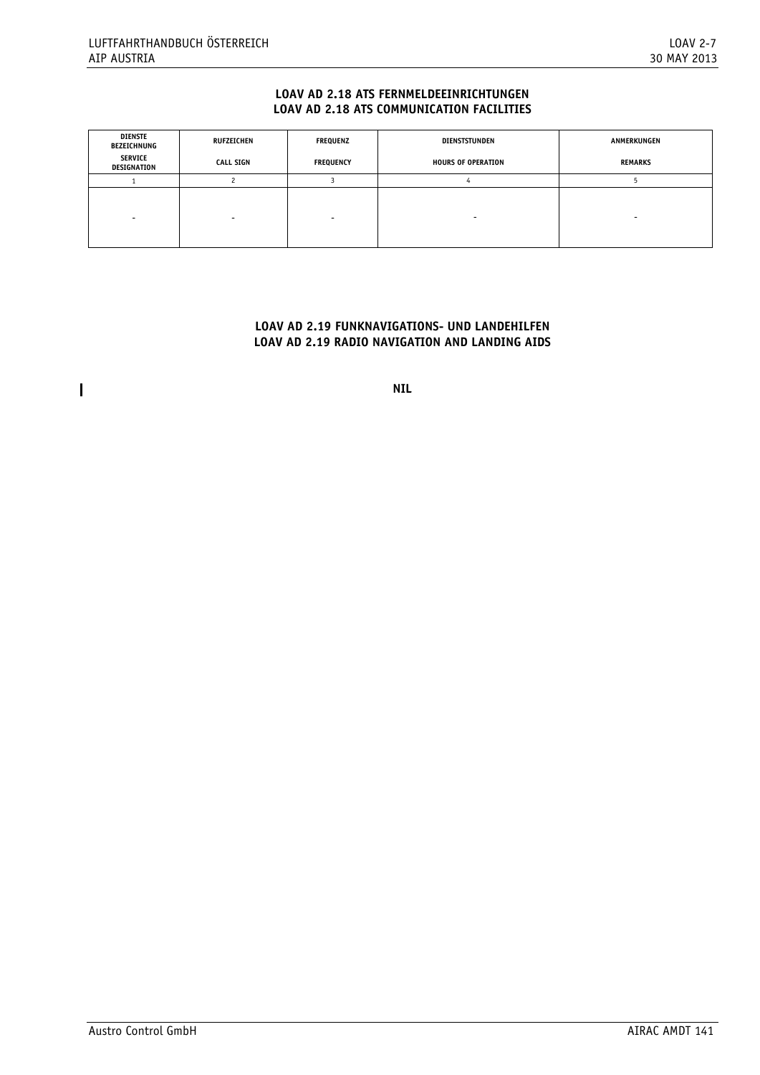# **LOAV AD 2.18 ATS FERNMELDEEINRICHTUNGEN LOAV AD 2.18 ATS COMMUNICATION FACILITIES**

| DIENSTE<br>BEZEICHNUNG<br>SERVICE<br>DESIGNATION | RUFZEICHEN<br><b>CALL SIGN</b> | FREQUENZ<br><b>FREQUENCY</b> | DIENSTSTUNDEN<br><b>HOURS OF OPERATION</b> | ANMERKUNGEN<br><b>REMARKS</b> |
|--------------------------------------------------|--------------------------------|------------------------------|--------------------------------------------|-------------------------------|
|                                                  |                                |                              |                                            |                               |
| $\overline{\phantom{0}}$                         | $\overline{\phantom{0}}$       | $\overline{\phantom{0}}$     | -                                          | $\overline{\phantom{0}}$      |

# **LOAV AD 2.19 FUNKNAVIGATIONS- UND LANDEHILFEN LOAV AD 2.19 RADIO NAVIGATION AND LANDING AIDS**

**NIL**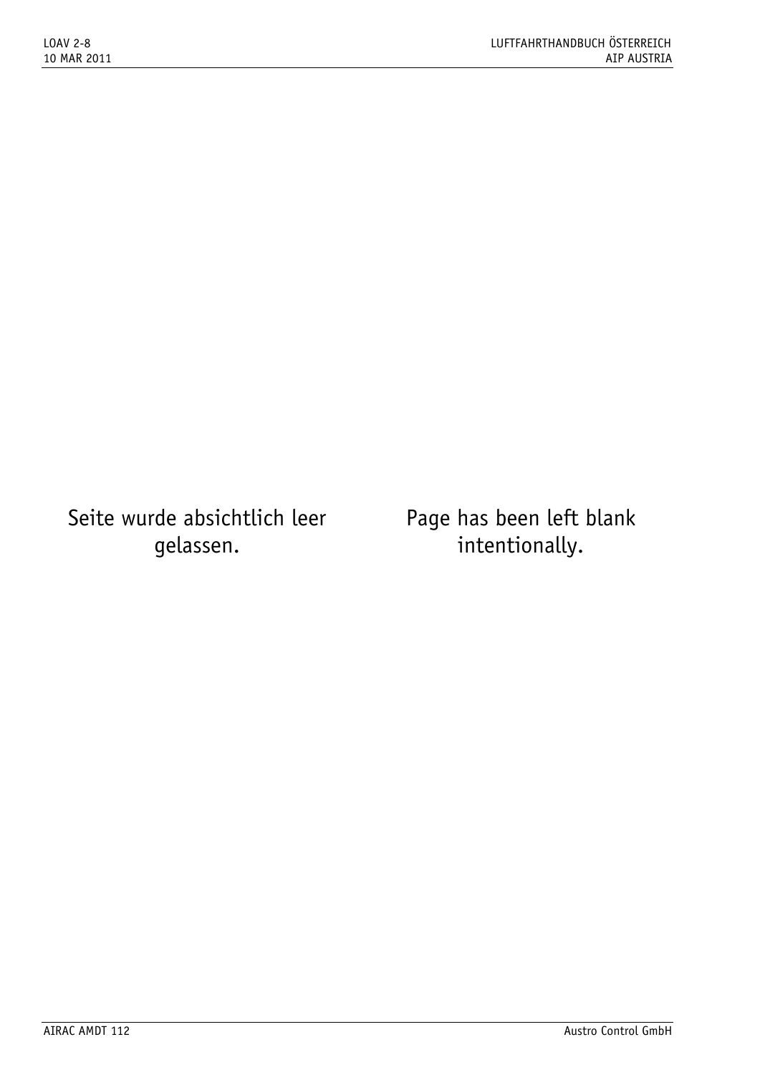Seite wurde absichtlich leer gelassen.

Page has been left blank intentionally.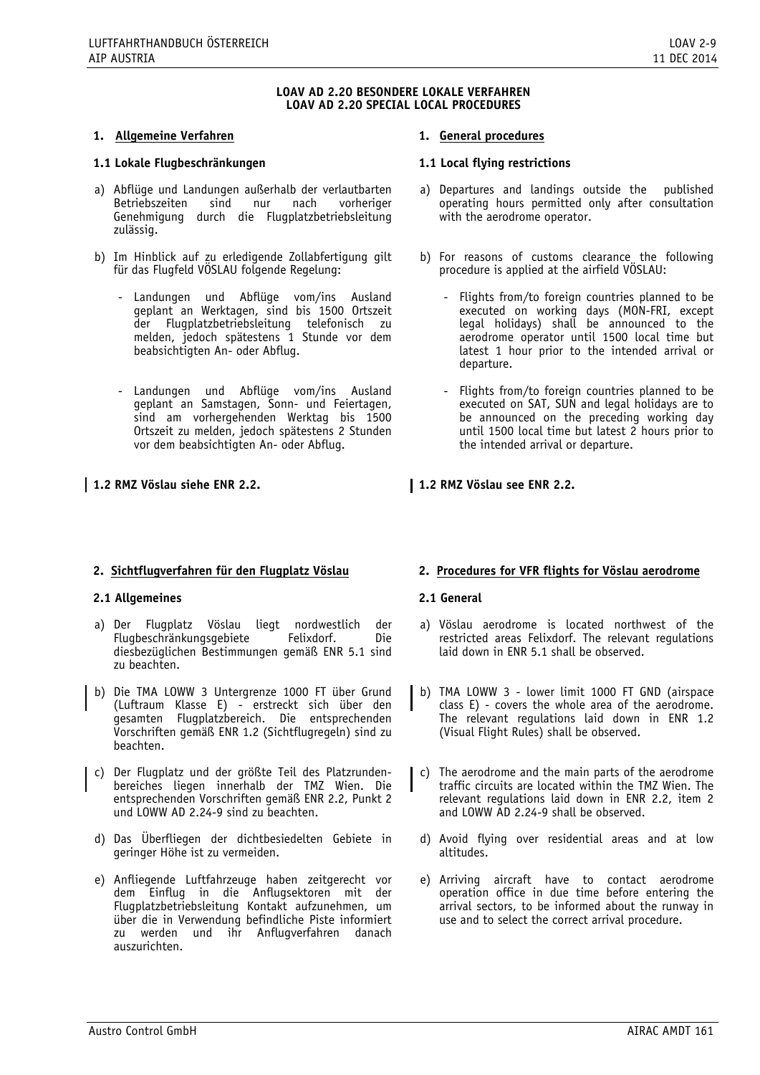#### **LOAV AD 2.20 BESONDERE LOKALE VERFAHREN LOAV AD 2.20 SPECIAL LOCAL PROCEDURES**

#### **1. Allgemeine Verfahren**

#### **1.1 Lokale Flugbeschränkungen**

- a) Abflüge und Landungen außerhalb der verlautbarten Betriebszeiten sind nur nach vorheriger Genehmigung durch die Flugplatzbetriebsleitung zulässig.
- b) Im Hinblick auf zu erledigende Zollabfertigung gilt für das Flugfeld VÖSLAU folgende Regelung:
	- Landungen und Abflüge vom/ins Ausland geplant an Werktagen, sind bis 1500 Ortszeit der Flugplatzbetriebsleitung telefonisch zu melden, jedoch spätestens 1 Stunde vor dem beabsichtigten An- oder Abflug.
	- Landungen und Abflüge vom/ins Ausland geplant an Samstagen, Sonn- und Feiertagen, sind am vorhergehenden Werktag bis 1500 Ortszeit zu melden, jedoch spätestens 2 Stunden vor dem beabsichtigten An- oder Abflug.

# **1.2 RMZ Vöslau siehe ENR 2.2.**

### **1. General procedures**

#### **1.1 Local flying restrictions**

- a) Departures and landings outside the published operating hours permitted only after consultation with the aerodrome operator.
- b) For reasons of customs clearance the following procedure is applied at the airfield VÖSLAU:
	- Flights from/to foreign countries planned to be executed on working days (MON-FRI, except legal holidays) shall be announced to the aerodrome operator until 1500 local time but latest 1 hour prior to the intended arrival or departure.
	- Flights from/to foreign countries planned to be executed on SAT, SUN and legal holidays are to be announced on the preceding working day until 1500 local time but latest 2 hours prior to the intended arrival or departure.

**1.2 RMZ Vöslau see ENR 2.2.**

# **2. Sichtflugverfahren für den Flugplatz Vöslau**

### **2.1 Allgemeines**

- a) Der Flugplatz Vöslau liegt nordwestlich der Flugbeschränkungsgebiete diesbezüglichen Bestimmungen gemäß ENR 5.1 sind zu beachten.
- b) Die TMA LOWW 3 Untergrenze 1000 FT über Grund (Luftraum Klasse E) - erstreckt sich über den gesamten Flugplatzbereich. Die entsprechenden Vorschriften gemäß ENR 1.2 (Sichtflugregeln) sind zu beachten.
- c) Der Flugplatz und der größte Teil des Platzrundenbereiches liegen innerhalb der TMZ Wien. Die entsprechenden Vorschriften gemäß ENR 2.2, Punkt 2 und LOWW AD 2.24-9 sind zu beachten.
- d) Das Überfliegen der dichtbesiedelten Gebiete in geringer Höhe ist zu vermeiden.
- e) Anfliegende Luftfahrzeuge haben zeitgerecht vor dem Einflug in die Anflugsektoren mit der Flugplatzbetriebsleitung Kontakt aufzunehmen, um über die in Verwendung befindliche Piste informiert zu werden und ihr Anflugverfahren danach auszurichten.

# **2. Procedures for VFR flights for Vöslau aerodrome**

### **2.1 General**

- a) Vöslau aerodrome is located northwest of the restricted areas Felixdorf. The relevant regulations laid down in ENR 5.1 shall be observed.
- b) TMA LOWW 3 lower limit 1000 FT GND (airspace class E) - covers the whole area of the aerodrome. The relevant regulations laid down in ENR 1.2 (Visual Flight Rules) shall be observed.
- c) The aerodrome and the main parts of the aerodrome traffic circuits are located within the TMZ Wien. The relevant regulations laid down in ENR 2.2, item 2 and LOWW AD 2.24-9 shall be observed.
- d) Avoid flying over residential areas and at low altitudes.
- e) Arriving aircraft have to contact aerodrome operation office in due time before entering the arrival sectors, to be informed about the runway in use and to select the correct arrival procedure.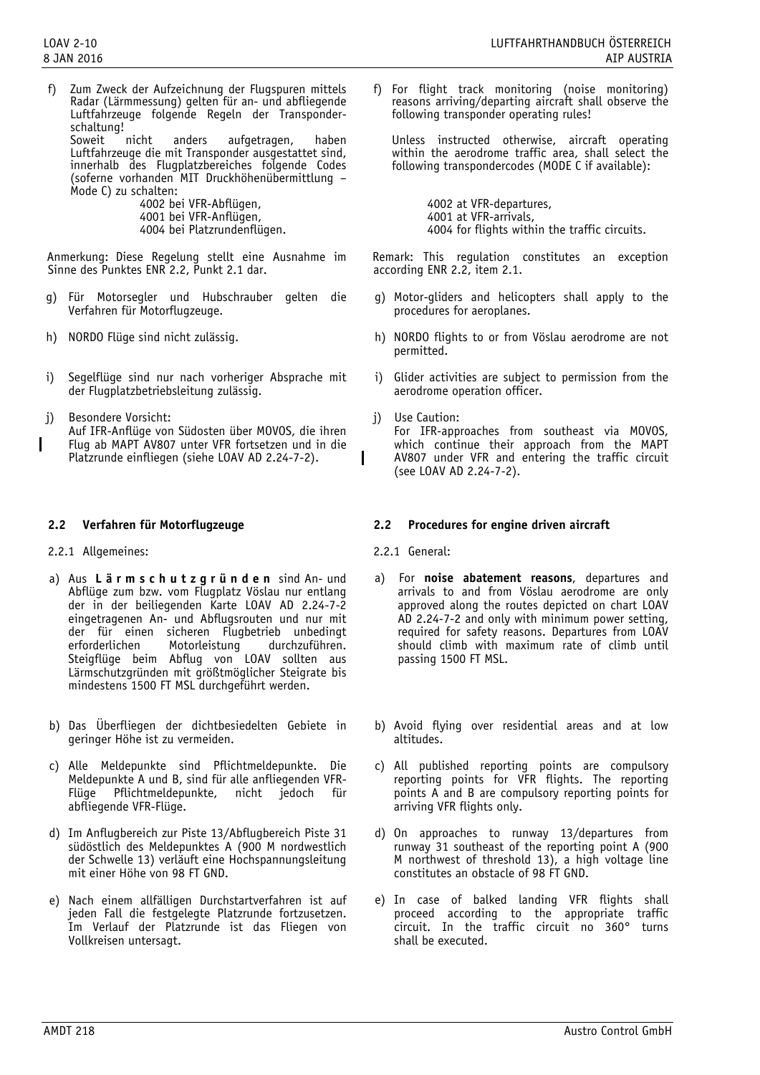Zum Zweck der Aufzeichnung der Flugspuren mittels Radar (Lärmmessung) gelten für an- und abfliegende Luftfahrzeuge folgende Regeln der Transponderschaltung!<br>Soweit nicht anders aufgetragen, haben

Luftfahrzeuge die mit Transponder ausgestattet sind, innerhalb des Flugplatzbereiches folgende Codes (soferne vorhanden MIT Druckhöhenübermittlung – Mode C) zu schalten:

 4002 bei VFR-Abflügen, 4001 bei VFR-Anflügen, 4004 bei Platzrundenflügen.

Anmerkung: Diese Regelung stellt eine Ausnahme im Sinne des Punktes ENR 2.2, Punkt 2.1 dar.

- g) Für Motorsegler und Hubschrauber gelten die Verfahren für Motorflugzeuge.
- h) NORDO Flüge sind nicht zulässig.
- i) Segelflüge sind nur nach vorheriger Absprache mit der Flugplatzbetriebsleitung zulässig.
- j) Besondere Vorsicht: Auf IFR-Anflüge von Südosten über MOVOS, die ihren Flug ab MAPT AV807 unter VFR fortsetzen und in die Platzrunde einfliegen (siehe LOAV AD 2.24-7-2).

# **2.2 Verfahren für Motorflugzeuge**

### 2.2.1 Allgemeines:

- a) Aus **L ä r m s c h u t z g r ü n d e n** sind An- und Abflüge zum bzw. vom Flugplatz Vöslau nur entlang der in der beiliegenden Karte LOAV AD 2.24-7-2 eingetragenen An- und Abflugsrouten und nur mit der für einen sicheren Flugbetrieb unbedingt erforderlichen Motorleistung durchzuführen. Steigflüge beim Abflug von LOAV sollten aus Lärmschutzgründen mit größtmöglicher Steigrate bis mindestens 1500 FT MSL durchgeführt werden.
- b) Das Überfliegen der dichtbesiedelten Gebiete in geringer Höhe ist zu vermeiden.
- c) Alle Meldepunkte sind Pflichtmeldepunkte. Die Meldepunkte A und B, sind für alle anfliegenden VFR-Flüge Pflichtmeldepunkte, nicht jedoch für abfliegende VFR-Flüge.
- d) Im Anflugbereich zur Piste 13/Abflugbereich Piste 31 südöstlich des Meldepunktes A (900 M nordwestlich der Schwelle 13) verläuft eine Hochspannungsleitung mit einer Höhe von 98 FT GND.
- e) Nach einem allfälligen Durchstartverfahren ist auf jeden Fall die festgelegte Platzrunde fortzusetzen. Im Verlauf der Platzrunde ist das Fliegen von Vollkreisen untersagt.

f) For flight track monitoring (noise monitoring) reasons arriving/departing aircraft shall observe the following transponder operating rules!

 Unless instructed otherwise, aircraft operating within the aerodrome traffic area, shall select the following transpondercodes (MODE C if available):

> 4002 at VFR-departures, 4001 at VFR-arrivals, 4004 for flights within the traffic circuits.

Remark: This regulation constitutes an exception according ENR 2.2, item 2.1.

- g) Motor-gliders and helicopters shall apply to the procedures for aeroplanes.
- h) NORDO flights to or from Vöslau aerodrome are not permitted.
- i) Glider activities are subject to permission from the aerodrome operation officer.
- j) Use Caution: For IFR-approaches from southeast via MOVOS, which continue their approach from the MAPT AV807 under VFR and entering the traffic circuit (see LOAV AD 2.24-7-2).

# **2.2 Procedures for engine driven aircraft**

2.2.1 General:

- a) For **noise abatement reasons**, departures and arrivals to and from Vöslau aerodrome are only approved along the routes depicted on chart LOAV AD 2.24-7-2 and only with minimum power setting, required for safety reasons. Departures from LOAV should climb with maximum rate of climb until passing 1500 FT MSL.
- b) Avoid flying over residential areas and at low altitudes.
- c) All published reporting points are compulsory reporting points for VFR flights. The reporting points A and B are compulsory reporting points for arriving VFR flights only.
- d) On approaches to runway 13/departures from runway 31 southeast of the reporting point A (900 M northwest of threshold 13), a high voltage line constitutes an obstacle of 98 FT GND.
- e) In case of balked landing VFR flights shall proceed according to the appropriate traffic circuit. In the traffic circuit no 360° turns shall be executed.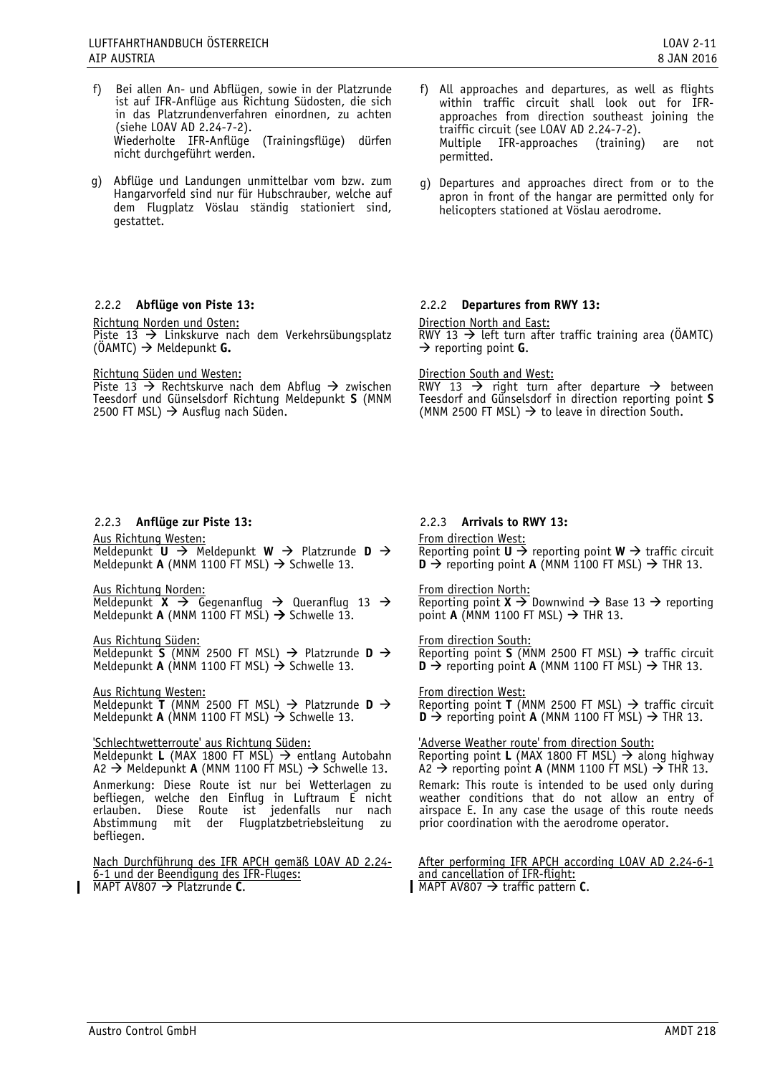- f) Bei allen An- und Abflügen, sowie in der Platzrunde ist auf IFR-Anflüge aus Richtung Südosten, die sich in das Platzrundenverfahren einordnen, zu achten (siehe LOAV AD 2.24-7-2). Wiederholte IFR-Anflüge (Trainingsflüge) dürfen nicht durchgeführt werden.
- g) Abflüge und Landungen unmittelbar vom bzw. zum Hangarvorfeld sind nur für Hubschrauber, welche auf dem Flugplatz Vöslau ständig stationiert sind, gestattet.

Richtung Norden und Osten:

Piste 13 Linkskurve nach dem Verkehrsübungsplatz (ÖAMTC) Meldepunkt **G.**

Richtung Süden und Westen:

Piste 13  $\rightarrow$  Rechtskurve nach dem Abflug  $\rightarrow$  zwischen Teesdorf und Günselsdorf Richtung Meldepunkt **S** (MNM 2500 FT MSL)  $\rightarrow$  Ausflug nach Süden.

- f) All approaches and departures, as well as flights within traffic circuit shall look out for IFRapproaches from direction southeast joining the traiffic circuit (see LOAV AD 2.24-7-2). Multiple IFR-approaches (training) are not permitted.
- g) Departures and approaches direct from or to the apron in front of the hangar are permitted only for helicopters stationed at Vöslau aerodrome.

### 2.2.2 **Abflüge von Piste 13:** 2.2.2 **Departures from RWY 13:**

Direction North and East: RWY 13  $\rightarrow$  left turn after traffic training area (ÖAMTC)  $\rightarrow$  reporting point **G**.

Direction South and West:

RWY 13  $\rightarrow$  right turn after departure  $\rightarrow$  between Teesdorf and Günselsdorf in direction reporting point **S**  (MNM 2500 FT MSL)  $\rightarrow$  to leave in direction South.

### 2.2.3 **Anflüge zur Piste 13:** 2.2.3 **Arrivals to RWY 13:**

Aus Richtung Westen:  $\overline{\text{Medepunkt}} \quad \overline{\text{U}} \rightarrow \text{Medepunkt} \quad \text{W} \rightarrow \text{Platzrunde} \quad \text{D} \rightarrow \overline{\text{Mod}}$ Meldepunkt **A** (MNM 1100 FT MSL) → Schwelle 13.

Aus Richtung Norden:

Meldepunkt  $X \rightarrow$  Gegenanflug  $\rightarrow$  Queranflug 13  $\rightarrow$ Meldepunkt **A** (MNM 1100 FT MSL) → Schwelle 13.

Aus Richtung Süden: Meldepunkt **S** (MNM 2500 FT MSL) Platzrunde **D** Meldepunkt **A** (MNM 1100 FT MSL) Schwelle 13.

Aus Richtung Westen:

Meldepunkt **T** (MNM 2500 FT MSL) Platzrunde **D** Meldepunkt **A** (MNM 1100 FT MSL)  $\rightarrow$  Schwelle 13.

#### 'Schlechtwetterroute' aus Richtung Süden:

Meldepunkt **L** (MAX 1800 FT MSL) → entlang Autobahn A2 → Meldepunkt **A** (MNM 1100 FT MSL) → Schwelle 13. Anmerkung: Diese Route ist nur bei Wetterlagen zu befliegen, welche den Einflug in Luftraum E nicht erlauben. Diese Route ist jedenfalls nur nach Abstimmung mit der Flugplatzbetriebsleitung zu befliegen.

Nach Durchführung des IFR APCH gemäß LOAV AD 2.24- 6-1 und der Beendigung des IFR-Fluges: MAPT AV807 Platzrunde **C**.

From direction West: Reporting point  $U \rightarrow$  reporting point  $W \rightarrow$  traffic circuit  $\mathbf{D}$   $\rightarrow$  reporting point **A** (MNM 1100 FT MSL)  $\rightarrow$  THR 13.

From direction North: Reporting point  $X \rightarrow$  Downwind  $\rightarrow$  Base 13  $\rightarrow$  reporting point **A** (MNM 1100 FT MSL)  $\rightarrow$  THR 13.

From direction South: Reporting point **S** (MNM 2500 FT MSL)  $\rightarrow$  traffic circuit  $\mathbf{D} \to \mathbf{P}$  reporting point **A** (MNM 1100 FT MSL)  $\to$  THR 13.

From direction West: Reporting point **T** (MNM 2500 FT MSL)  $\rightarrow$  traffic circuit  $D \rightarrow$  reporting point **A** (MNM 1100 FT MSL)  $\rightarrow$  THR 13.

'Adverse Weather route' from direction South: Reporting point L (MAX 1800 FT MSL)  $\rightarrow$  along highway A2  $\rightarrow$  reporting point **A** (MNM 1100 FT MSL)  $\rightarrow$  THR 13. Remark: This route is intended to be used only during weather conditions that do not allow an entry of airspace E. In any case the usage of this route needs prior coordination with the aerodrome operator.

After performing IFR APCH according LOAV AD 2.24-6-1 and cancellation of IFR-flight: MAPT AV807  $\rightarrow$  traffic pattern **C**.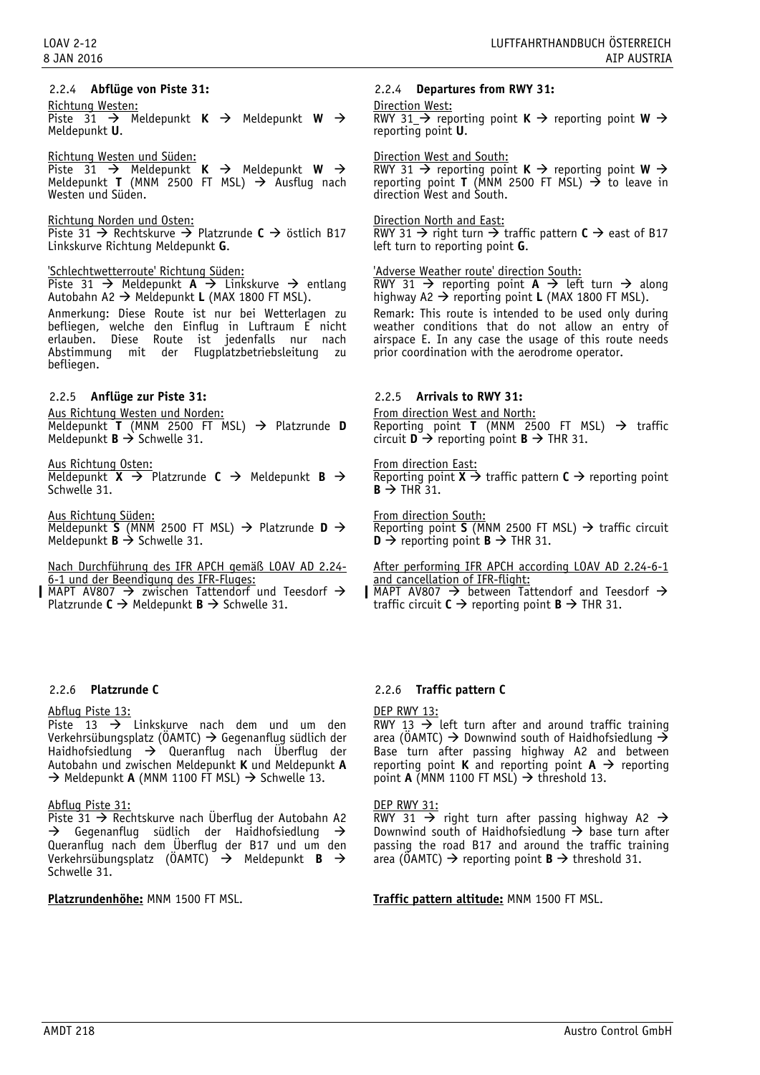Richtung Westen: Piste 31  $\rightarrow$  Meldepunkt **K**  $\rightarrow$  Meldepunkt **W**  $\rightarrow$ Meldepunkt **U**.

Richtung Westen und Süden: Piste  $31 \rightarrow$  Meldepunkt **K**  $\rightarrow$  Meldepunkt **W**  $\rightarrow$ There 51 7 There paints **N** 7 There paints **W** 7 Westen und Süden.

Richtung Norden und Osten: **Piste 31 → Rechtskurve → Platzrunde C → östlich B17** Linkskurve Richtung Meldepunkt **G**.

#### 'Schlechtwetterroute' Richtung Süden:

Piste 31  $\rightarrow$  Meldepunkt **A**  $\rightarrow$  Linkskurve  $\rightarrow$  entlang Autobahn A2 Meldepunkt **L** (MAX 1800 FT MSL).

Anmerkung: Diese Route ist nur bei Wetterlagen zu befliegen, welche den Einflug in Luftraum E nicht erlauben. Diese Route ist jedenfalls nur nach<br>Abstimmung mit der Flugplatzbetriebsleitung zu mit der Flugplatzbetriebsleitung zu befliegen.

#### 2.2.5 **Anflüge zur Piste 31:** 2.2.5 **Arrivals to RWY 31:**

Aus Richtung Westen und Norden: Meldepunkt **T** (MNM 2500 FT MSL) Platzrunde **D** Meldepunkt  $\overrightarrow{B}$  Schwelle 31.

Aus Richtung Osten: Meldepunkt  $X \rightarrow$  Platzrunde  $C \rightarrow$  Meldepunkt  $B \rightarrow$ Schwelle 31.

Aus Richtung Süden: Meldepunkt **S** (MNM 2500 FT MSL) Platzrunde **D** Meldepunkt  $\mathbf{B} \rightarrow \mathsf{Schwelle}$  31.

Nach Durchführung des IFR APCH gemäß LOAV AD 2.24- 6-1 und der Beendigung des IFR-Fluges:

MAPT AV807  $\rightarrow$  zwischen Tattendorf und Teesdorf  $\rightarrow$ Platzrunde  $C \rightarrow$  Meldepunkt  $B \rightarrow$  Schwelle 31.

### Abflug Piste 13:

Piste 13  $\rightarrow$  Linkskurve nach dem und um den  $V$ erkehrsübungsplatz (ÖAMTC)  $\rightarrow$  Gegenanflug südlich der Haidhofsiedlung  $\rightarrow$  Queranflug nach Überflug der Autobahn und zwischen Meldepunkt **K** und Meldepunkt **A**  $\rightarrow$  Meldepunkt **A** (MNM 1100 FT MSL)  $\rightarrow$  Schwelle 13.

#### Abflug Piste 31:

Piste 31  $\rightarrow$  Rechtskurve nach Überflug der Autobahn A2  $\rightarrow$  Gegenanflug südlich der Haidhofsiedlung  $\rightarrow$ Queranflug nach dem Überflug der B17 und um den Verkehrsübungsplatz (ÖAMTC) Meldepunkt **B** Schwelle 31.

**Platzrundenhöhe:** MNM 1500 FT MSL.

### 2.2.4 **Abflüge von Piste 31:** 2.2.4 **Departures from RWY 31:**

Direction West:

RWY 31  $\rightarrow$  reporting point **K**  $\rightarrow$  reporting point **W**  $\rightarrow$ reporting point **U**.

Direction West and South:

RWY 31  $\rightarrow$  reporting point **K**  $\rightarrow$  reporting point **W**  $\rightarrow$ reporting point **T** (MNM 2500 FT MSL)  $\rightarrow$  to leave in direction West and South.

Direction North and East:

RWY 31  $\rightarrow$  right turn  $\rightarrow$  traffic pattern **C**  $\rightarrow$  east of B17 left turn to reporting point **G**.

'Adverse Weather route' direction South:

RWY 31  $\rightarrow$  reporting point  $\overline{A}$   $\rightarrow$  left turn  $\rightarrow$  along highway A2  $\rightarrow$  reporting point **L** (MAX 1800 FT MSL).

Remark: This route is intended to be used only during weather conditions that do not allow an entry of airspace E. In any case the usage of this route needs prior coordination with the aerodrome operator.

From direction West and North:

Reporting point **T** (MNM 2500 FT MSL)  $\rightarrow$  traffic circuit  $D \rightarrow$  reporting point  $B \rightarrow$  THR 31.

From direction East: Reporting point  $X \rightarrow$  traffic pattern  $C \rightarrow$  reporting point  $B \rightarrow THR$  31.

From direction South: Reporting point **S** (MNM 2500 FT MSL)  $\rightarrow$  traffic circuit  $\mathbf{D} \rightarrow$  reporting point  $\mathbf{B} \rightarrow$  THR 31.

After performing IFR APCH according LOAV AD 2.24-6-1 and cancellation of IFR-flight:

 $\overline{\phantom{a}}$  MAPT AV807  $\rightarrow$  between Tattendorf and Teesdorf  $\rightarrow$ traffic circuit  $C \rightarrow$  reporting point  $B \rightarrow$  THR 31.

# 2.2.6 **Platzrunde C** 2.2.6 **Traffic pattern C**

# DEP RWY 13:

 $\overline{RWY}$  13  $\rightarrow$  left turn after and around traffic training area (ÖAMTC)  $\rightarrow$  Downwind south of Haidhofsiedlung  $\rightarrow$ Base turn after passing highway A2 and between reporting point  $K$  and reporting point  $A \rightarrow$  reporting point **A** (MNM 1100 FT MSL)  $\rightarrow$  threshold 13.

#### DEP RWY 31:

RWY 31  $\rightarrow$  right turn after passing highway A2  $\rightarrow$ Downwind south of Haidhofsiedlung  $\rightarrow$  base turn after passing the road B17 and around the traffic training area ( $\tilde{O}$ AMTC)  $\rightarrow$  reporting point **B**  $\rightarrow$  threshold 31.

**Traffic pattern altitude:** MNM 1500 FT MSL.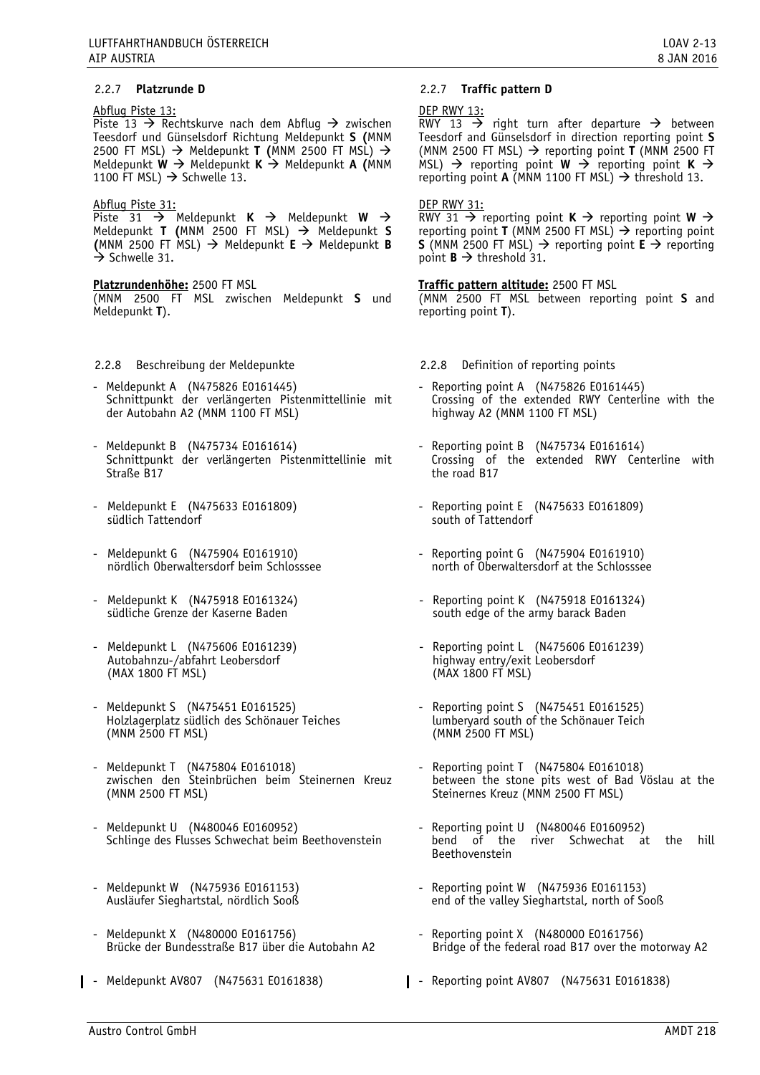Abflug Piste 13: Piste 13  $\rightarrow$  Rechtskurve nach dem Abflug  $\rightarrow$  zwischen Teesdorf und Günselsdorf Richtung Meldepunkt **S (**MNM 2500 FT MSL) Meldepunkt **T (**MNM 2500 FT MSL) Meldepunkt **W** Meldepunkt **K** Meldepunkt **A (**MNM 1100 FT MSL)  $\rightarrow$  Schwelle 13.

#### Abflug Piste 31:

Piste 31  $\rightarrow$  Meldepunkt **K**  $\rightarrow$  Meldepunkt **W**  $\rightarrow$ Meldepunkt **T (**MNM 2500 FT MSL) Meldepunkt **S (**MNM 2500 FT MSL) Meldepunkt **E**  Meldepunkt **B**   $\rightarrow$  Schwelle 31.

#### **Platzrundenhöhe:** 2500 FT MSL

(MNM 2500 FT MSL zwischen Meldepunkt **S** und Meldepunkt **T**).

- Meldepunkt A (N475826 E0161445) Schnittpunkt der verlängerten Pistenmittellinie mit der Autobahn A2 (MNM 1100 FT MSL)
- Meldepunkt B (N475734 E0161614) Schnittpunkt der verlängerten Pistenmittellinie mit Straße B17
- Meldepunkt E (N475633 E0161809) südlich Tattendorf
- Meldepunkt G (N475904 E0161910) nördlich Oberwaltersdorf beim Schlosssee
- Meldepunkt K (N475918 E0161324) südliche Grenze der Kaserne Baden
- Meldepunkt L (N475606 E0161239) Autobahnzu-/abfahrt Leobersdorf (MAX 1800 FT MSL)
- Meldepunkt S (N475451 E0161525) Holzlagerplatz südlich des Schönauer Teiches (MNM 2500 FT MSL)
- Meldepunkt T (N475804 E0161018) zwischen den Steinbrüchen beim Steinernen Kreuz (MNM 2500 FT MSL)
- Meldepunkt U (N480046 E0160952) Schlinge des Flusses Schwechat beim Beethovenstein
- Meldepunkt W (N475936 E0161153) Ausläufer Sieghartstal, nördlich Sooß
- Meldepunkt X (N480000 E0161756) Brücke der Bundesstraße B17 über die Autobahn A2
- 

# 2.2.7 **Platzrunde D** 2.2.7 **Traffic pattern D**

#### DEP RWY 13:

RWY 13  $\rightarrow$  right turn after departure  $\rightarrow$  between Teesdorf and Günselsdorf in direction reporting point **S**  (MNM 2500 FT MSL)  $\rightarrow$  reporting point **T** (MNM 2500 FT MSL)  $\rightarrow$  reporting point **W**  $\rightarrow$  reporting point **K**  $\rightarrow$ reporting point **A** (MNM 1100 FT MSL)  $\rightarrow$  threshold 13.

#### DEP RWY 31:

RWY 31  $\rightarrow$  reporting point **K**  $\rightarrow$  reporting point **W**  $\rightarrow$ reporting point  $T$  (MNM 2500 FT MSL)  $\rightarrow$  reporting point **S** (MNM 2500 FT MSL)  $\rightarrow$  reporting point  $E \rightarrow$  reporting point  $\mathbf{B} \to$  threshold 31.

#### **Traffic pattern altitude:** 2500 FT MSL (MNM 2500 FT MSL between reporting point **S** and reporting point **T**).

- 2.2.8 Beschreibung der Meldepunkte 2.2.8 Definition of reporting points
	- Reporting point A (N475826 E0161445) Crossing of the extended RWY Centerline with the highway A2 (MNM 1100 FT MSL)
	- Reporting point B (N475734 E0161614) Crossing of the extended RWY Centerline with the road B17
	- Reporting point E (N475633 E0161809) south of Tattendorf
	- Reporting point G (N475904 E0161910) north of Oberwaltersdorf at the Schlosssee
	- Reporting point K (N475918 E0161324) south edge of the army barack Baden
	- Reporting point L (N475606 E0161239) highway entry/exit Leobersdorf (MAX 1800 FT MSL)
	- Reporting point S (N475451 E0161525) lumberyard south of the Schönauer Teich (MNM 2500 FT MSL)
	- Reporting point T (N475804 E0161018) between the stone pits west of Bad Vöslau at the Steinernes Kreuz (MNM 2500 FT MSL)
	- Reporting point U (N480046 E0160952) bend of the river Schwechat at the hill Beethovenstein
	- Reporting point W (N475936 E0161153) end of the valley Sieghartstal, north of Sooß
	- Reporting point X (N480000 E0161756) Bridge of the federal road B17 over the motorway A2
- | Meldepunkt AV807 (N475631 E0161838) | Reporting point AV807 (N475631 E0161838)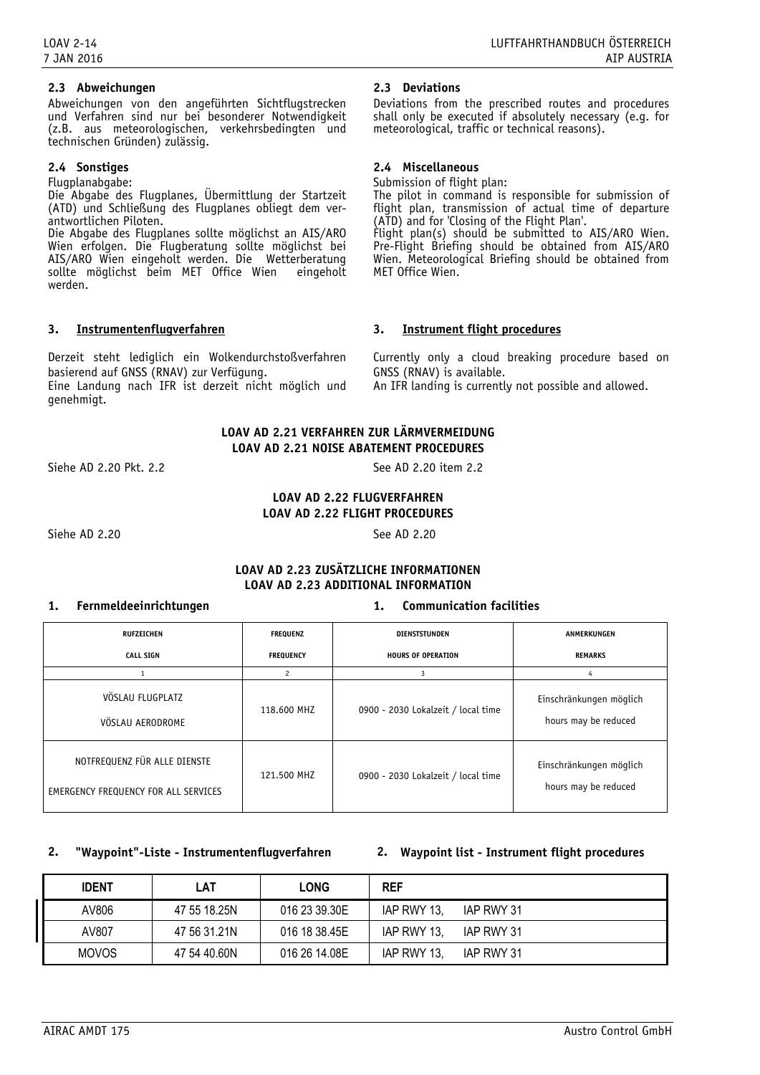# **2.3 Abweichungen 2.3 Deviations**

Abweichungen von den angeführten Sichtflugstrecken und Verfahren sind nur bei besonderer Notwendigkeit (z.B. aus meteorologischen, verkehrsbedingten und technischen Gründen) zulässig.

Flugplanabgabe:

Die Abgabe des Flugplanes, Übermittlung der Startzeit (ATD) und Schließung des Flugplanes obliegt dem verantwortlichen Piloten.

Die Abgabe des Flugplanes sollte möglichst an AIS/ARO Wien erfolgen. Die Flugberatung sollte möglichst bei AIS/ARO Wien eingeholt werden. Die Wetterberatung sollte möglichst beim MET Office Wien eingeholt werden.

Derzeit steht lediglich ein Wolkendurchstoßverfahren basierend auf GNSS (RNAV) zur Verfügung. Eine Landung nach IFR ist derzeit nicht möglich und genehmigt.

Deviations from the prescribed routes and procedures shall only be executed if absolutely necessary (e.g. for meteorological, traffic or technical reasons).

### **2.4 Sonstiges 2.4 Miscellaneous**

Submission of flight plan:

The pilot in command is responsible for submission of flight plan, transmission of actual time of departure (ATD) and for 'Closing of the Flight Plan'.

Flight plan(s) should be submitted to AIS/ARO Wien. Pre-Flight Briefing should be obtained from AIS/ARO Wien. Meteorological Briefing should be obtained from MET Office Wien.

### **3. Instrumentenflugverfahren 3. Instrument flight procedures**

Currently only a cloud breaking procedure based on GNSS (RNAV) is available.

An IFR landing is currently not possible and allowed.

# **LOAV AD 2.21 VERFAHREN ZUR LÄRMVERMEIDUNG LOAV AD 2.21 NOISE ABATEMENT PROCEDURES**

Siehe AD 2.20 Pkt. 2.2 Siehe AD 2.20 item 2.2

# **LOAV AD 2.22 FLUGVERFAHREN LOAV AD 2.22 FLIGHT PROCEDURES**

Siehe AD 2.20 See AD 2.20

# **LOAV AD 2.23 ZUSÄTZLICHE INFORMATIONEN LOAV AD 2.23 ADDITIONAL INFORMATION**

### **1. Fernmeldeeinrichtungen 1. Communication facilities**

**RUFZEICHEN FREQUENZ DIENSTSTUNDEN ANMERKUNGEN CALL SIGN FREQUENCY HOURS OF OPERATION REMARKS**  1 2 3 3 4 VÖSLALL FLUGPLATZ VÖSLAU AERODROME 118.600 MHZ 0900 - 2030 Lokalzeit / local time Einschränkungen möglich hours may be reduced NOTFREQUENZ FÜR ALLE DIENSTE EMERGENCY FREQUENCY FOR ALL SERVICES 121.500 MHZ 0900 - 2030 Lokalzeit / local time Einschränkungen möglich hours may be reduced

### **2. "Waypoint"-Liste - Instrumentenflugverfahren 2. Waypoint list - Instrument flight procedures**

| <b>IDENT</b> | LAT          | LONG          | <b>REF</b>                |
|--------------|--------------|---------------|---------------------------|
| AV806        | 47 55 18.25N | 016 23 39.30E | IAP RWY 13.<br>IAP RWY 31 |
| AV807        | 47 56 31.21N | 016 18 38.45E | IAP RWY 31<br>IAP RWY 13. |
| <b>MOVOS</b> | 47 54 40.60N | 016 26 14.08E | IAP RWY 31<br>IAP RWY 13. |